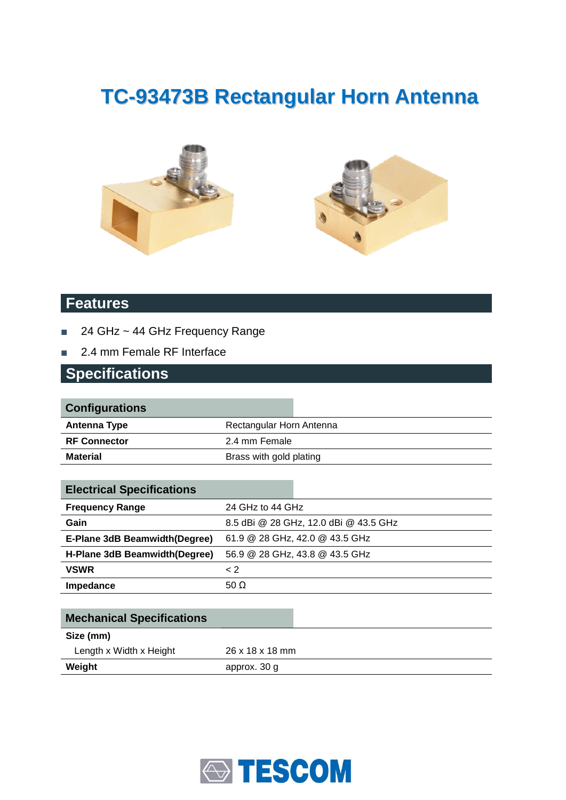# **TC-93473B Rectangular Horn Antenna**





#### **Features**

- 24 GHz ~ 44 GHz Frequency Range
- 2.4 mm Female RF Interface

#### **Specifications**

| <b>Configurations</b> |                          |
|-----------------------|--------------------------|
| Antenna Type          | Rectangular Horn Antenna |
| <b>RF Connector</b>   | 2.4 mm Female            |
| <b>Material</b>       | Brass with gold plating  |
|                       |                          |

| <b>Electrical Specifications</b> |                                |                                       |
|----------------------------------|--------------------------------|---------------------------------------|
| <b>Frequency Range</b>           | 24 GHz to 44 GHz               |                                       |
| Gain                             |                                | 8.5 dBi @ 28 GHz, 12.0 dBi @ 43.5 GHz |
| E-Plane 3dB Beamwidth (Degree)   | 61.9 @ 28 GHz, 42.0 @ 43.5 GHz |                                       |
| H-Plane 3dB Beamwidth (Degree)   | 56.9 @ 28 GHz, 43.8 @ 43.5 GHz |                                       |
| <b>VSWR</b>                      | $\leq$ 2                       |                                       |
| Impedance                        | 50 $\Omega$                    |                                       |

| <b>Mechanical Specifications</b> |                 |
|----------------------------------|-----------------|
| Size (mm)                        |                 |
| Length x Width x Height          | 26 x 18 x 18 mm |
| Weight                           | approx. 30 g    |

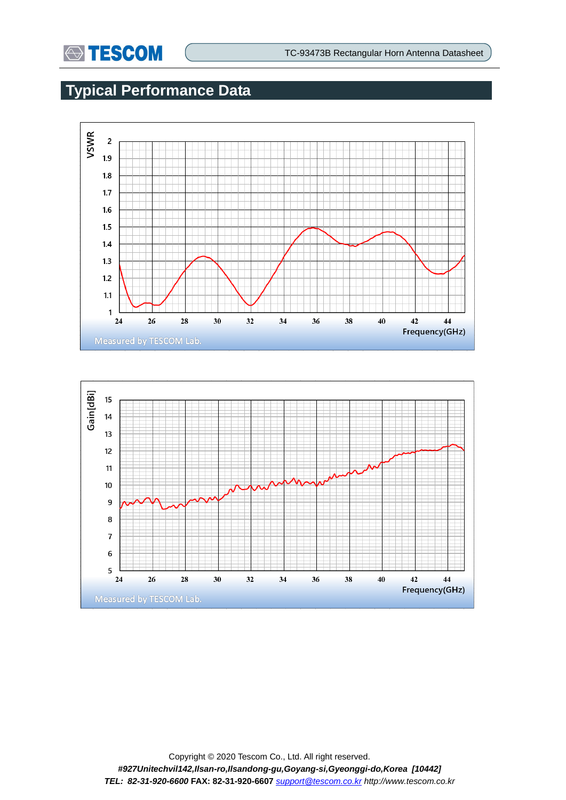

## **Typical Performance Data**



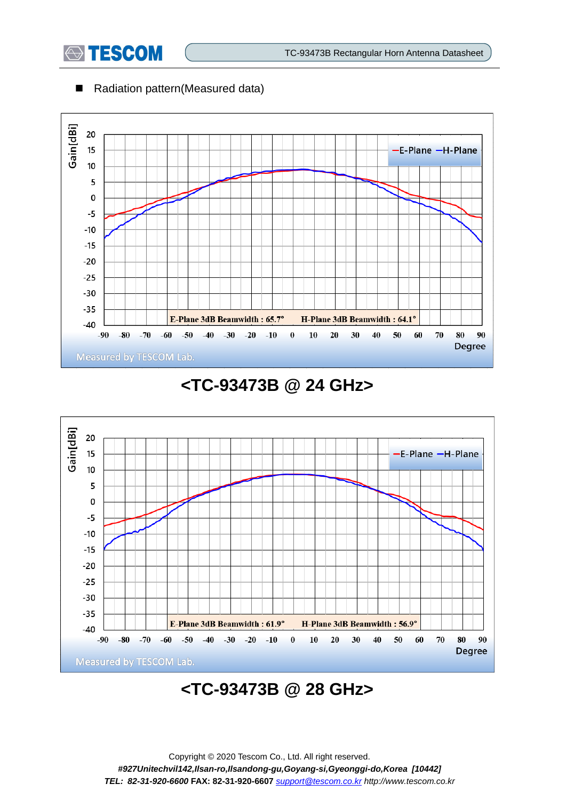

#### ■ Radiation pattern(Measured data)



### **<TC-93473B @ 24 GHz>**



## **<TC-93473B @ 28 GHz>**

Copyright © 2020 Tescom Co., Ltd. All right reserved. *#927Unitechvil142,Ilsan-ro,Ilsandong-gu,Goyang-si,Gyeonggi-do,Korea [10442] TEL: 82-31-920-6600* **FAX: 82-31-920-6607** *[support@tescom.co.kr](mailto:support@tescom.co.kr) http://www.tescom.co.kr*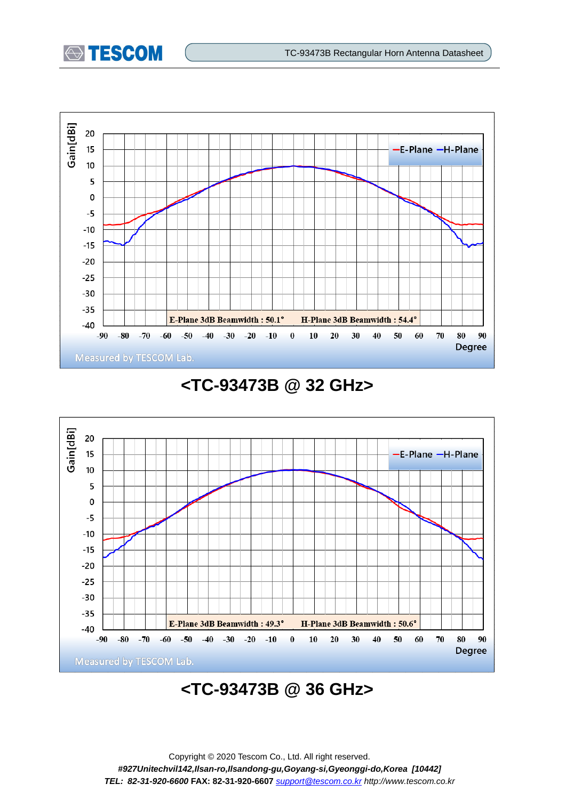



### **<TC-93473B @ 32 GHz>**



## **<TC-93473B @ 36 GHz>**

Copyright © 2020 Tescom Co., Ltd. All right reserved. *#927Unitechvil142,Ilsan-ro,Ilsandong-gu,Goyang-si,Gyeonggi-do,Korea [10442] TEL: 82-31-920-6600* **FAX: 82-31-920-6607** *[support@tescom.co.kr](mailto:support@tescom.co.kr) http://www.tescom.co.kr*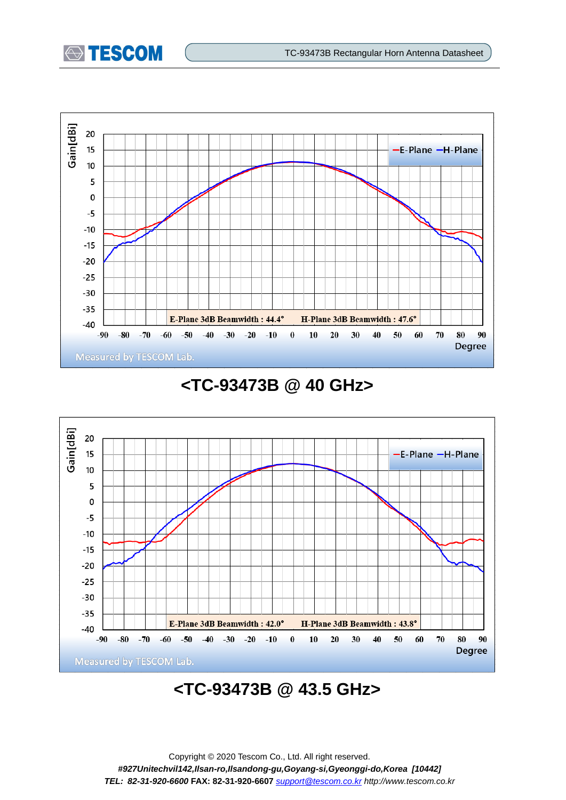



### **<TC-93473B @ 40 GHz>**



## **<TC-93473B @ 43.5 GHz>**